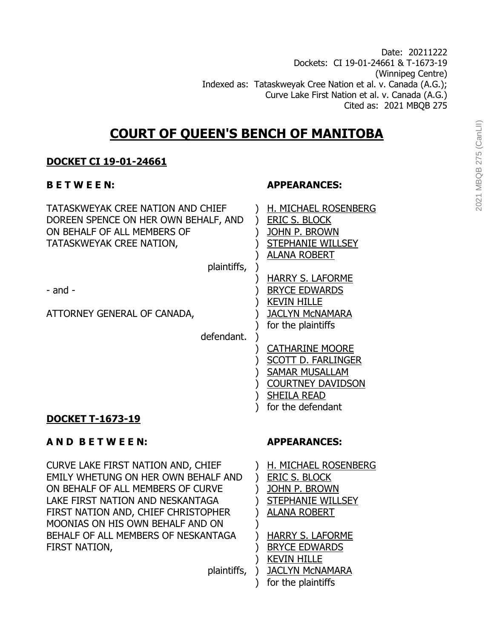Date: 20211222 Dockets: CI 19-01-24661 & T-1673-19 (Winnipeg Centre) Indexed as: Tataskweyak Cree Nation et al. v. Canada (A.G.); Curve Lake First Nation et al. v. Canada (A.G.) Cited as: 2021 MBQB 275

# **COURT OF QUEEN'S BENCH OF MANITOBA**

# **DOCKET CI 19-01-24661**

TATASKWEYAK CREE NATION AND CHIEF ) H. MICHAEL ROSENBERG DOREEN SPENCE ON HER OWN BEHALF, AND ) ERIC S. BLOCK ON BEHALF OF ALL MEMBERS OF  $\qquad$  ) JOHN P. BROWN TATASKWEYAK CREE NATION, ) STEPHANIE WILLSEY

plaintiffs, )

ATTORNEY GENERAL OF CANADA,  $\overline{a}$  ) JACLYN McNAMARA

defendant. )

### **B E T W E E N: APPEARANCES:**

) ALANA ROBERT

) HARRY S. LAFORME - and -  $\qquad \qquad$  BRYCE EDWARDS ) KEVIN HILLE ) for the plaintiffs

> ) CATHARINE MOORE ) SCOTT D. FARLINGER ) SAMAR MUSALLAM ) COURTNEY DAVIDSON ) SHEILA READ ) for the defendant

# **DOCKET T-1673-19**

# **A N D B E T W E E N: APPEARANCES:**

CURVE LAKE FIRST NATION AND, CHIEF ) H. MICHAEL ROSENBERG EMILY WHETUNG ON HER OWN BEHALF AND ) ERIC S. BLOCK ON BEHALF OF ALL MEMBERS OF CURVE ) JOHN P. BROWN LAKE FIRST NATION AND NESKANTAGA ) STEPHANIE WILLSEY FIRST NATION AND, CHIEF CHRISTOPHER ) ALANA ROBERT MOONIAS ON HIS OWN BEHALF AND ON ) BEHALF OF ALL MEMBERS OF NESKANTAGA ) HARRY S. LAFORME FIRST NATION, THE STATE OF STATE SERVICE EDWARDS

) KEVIN HILLE

plaintiffs, ) JACLYN McNAMARA ) for the plaintiffs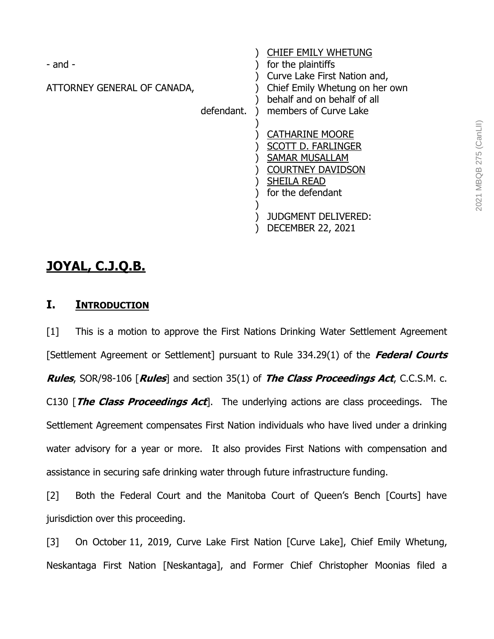| - and -                     |            | <b>CHIEF EMILY WHETUNG</b><br>for the plaintiffs                                                                                                    |
|-----------------------------|------------|-----------------------------------------------------------------------------------------------------------------------------------------------------|
| ATTORNEY GENERAL OF CANADA, | defendant. | Curve Lake First Nation and,<br>Chief Emily Whetung on her own<br>behalf and on behalf of all<br>members of Curve Lake                              |
|                             |            | <b>CATHARINE MOORE</b><br><b>SCOTT D. FARLINGER</b><br><b>SAMAR MUSALLAM</b><br><b>COURTNEY DAVIDSON</b><br><b>SHEILA READ</b><br>for the defendant |
|                             |            | <b>JUDGMENT DELIVERED:</b><br><b>DECEMBER 22, 2021</b>                                                                                              |

# **JOYAL, C.J.Q.B.**

# **I. INTRODUCTION**

[1] This is a motion to approve the First Nations Drinking Water Settlement Agreement [Settlement Agreement or Settlement] pursuant to Rule 334.29(1) of the **Federal Courts Rules**, SOR/98-106 [**Rules**] and section 35(1) of **The Class Proceedings Act**, C.C.S.M. c. C130 [**The Class Proceedings Act**]. The underlying actions are class proceedings. The Settlement Agreement compensates First Nation individuals who have lived under a drinking water advisory for a year or more. It also provides First Nations with compensation and assistance in securing safe drinking water through future infrastructure funding.

[2] Both the Federal Court and the Manitoba Court of Queen's Bench [Courts] have jurisdiction over this proceeding.

[3] On October 11, 2019, Curve Lake First Nation [Curve Lake], Chief Emily Whetung, Neskantaga First Nation [Neskantaga], and Former Chief Christopher Moonias filed a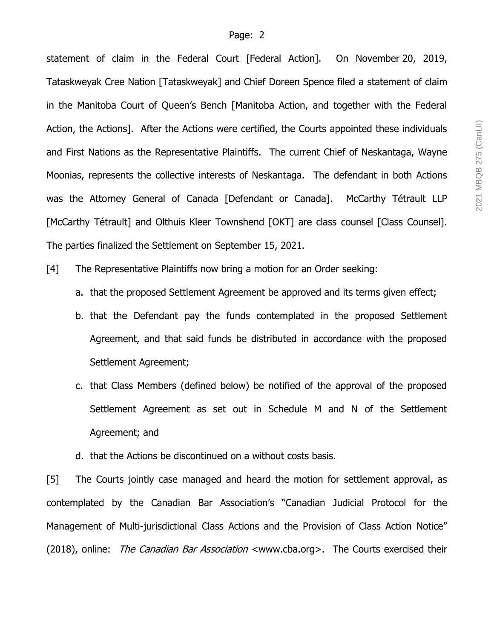statement of claim in the Federal Court [Federal Action]. On November 20, 2019, Tataskweyak Cree Nation [Tataskweyak] and Chief Doreen Spence filed a statement of claim in the Manitoba Court of Queen's Bench [Manitoba Action, and together with the Federal Action, the Actions]. After the Actions were certified, the Courts appointed these individuals and First Nations as the Representative Plaintiffs. The current Chief of Neskantaga, Wayne Moonias, represents the collective interests of Neskantaga. The defendant in both Actions was the Attorney General of Canada [Defendant or Canada]. McCarthy Tétrault LLP [McCarthy Tétrault] and Olthuis Kleer Townshend [OKT] are class counsel [Class Counsel]. The parties finalized the Settlement on September 15, 2021.

[4] The Representative Plaintiffs now bring a motion for an Order seeking:

- a. that the proposed Settlement Agreement be approved and its terms given effect;
- b. that the Defendant pay the funds contemplated in the proposed Settlement Agreement, and that said funds be distributed in accordance with the proposed Settlement Agreement;
- c. that Class Members (defined below) be notified of the approval of the proposed Settlement Agreement as set out in Schedule M and N of the Settlement Agreement; and
- d. that the Actions be discontinued on a without costs basis.

[5] The Courts jointly case managed and heard the motion for settlement approval, as contemplated by the Canadian Bar Association's "Canadian Judicial Protocol for the Management of Multi-jurisdictional Class Actions and the Provision of Class Action Notice" (2018), online: The Canadian Bar Association <www.cba.org>. The Courts exercised their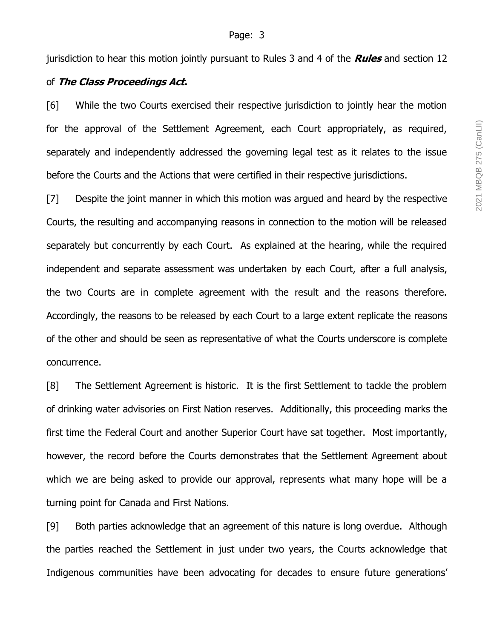jurisdiction to hear this motion jointly pursuant to Rules 3 and 4 of the **Rules** and section 12

# of **The Class Proceedings Act.**

[6] While the two Courts exercised their respective jurisdiction to jointly hear the motion for the approval of the Settlement Agreement, each Court appropriately, as required, separately and independently addressed the governing legal test as it relates to the issue before the Courts and the Actions that were certified in their respective jurisdictions.

[7] Despite the joint manner in which this motion was argued and heard by the respective Courts, the resulting and accompanying reasons in connection to the motion will be released separately but concurrently by each Court. As explained at the hearing, while the required independent and separate assessment was undertaken by each Court, after a full analysis, the two Courts are in complete agreement with the result and the reasons therefore. Accordingly, the reasons to be released by each Court to a large extent replicate the reasons of the other and should be seen as representative of what the Courts underscore is complete concurrence.

[8] The Settlement Agreement is historic. It is the first Settlement to tackle the problem of drinking water advisories on First Nation reserves. Additionally, this proceeding marks the first time the Federal Court and another Superior Court have sat together. Most importantly, however, the record before the Courts demonstrates that the Settlement Agreement about which we are being asked to provide our approval, represents what many hope will be a turning point for Canada and First Nations.

[9] Both parties acknowledge that an agreement of this nature is long overdue. Although the parties reached the Settlement in just under two years, the Courts acknowledge that Indigenous communities have been advocating for decades to ensure future generations'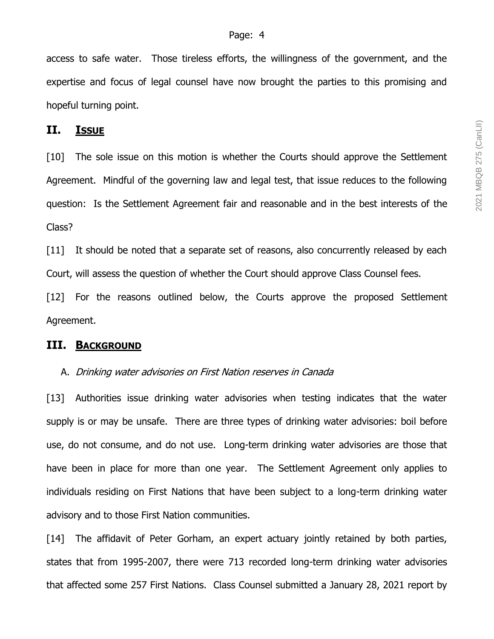access to safe water. Those tireless efforts, the willingness of the government, and the expertise and focus of legal counsel have now brought the parties to this promising and hopeful turning point.

# **II. ISSUE**

[10] The sole issue on this motion is whether the Courts should approve the Settlement Agreement. Mindful of the governing law and legal test, that issue reduces to the following question: Is the Settlement Agreement fair and reasonable and in the best interests of the Class?

[11] It should be noted that a separate set of reasons, also concurrently released by each Court, will assess the question of whether the Court should approve Class Counsel fees.

[12] For the reasons outlined below, the Courts approve the proposed Settlement Agreement.

### **III. BACKGROUND**

#### A. Drinking water advisories on First Nation reserves in Canada

[13] Authorities issue drinking water advisories when testing indicates that the water supply is or may be unsafe. There are three types of drinking water advisories: boil before use, do not consume, and do not use. Long-term drinking water advisories are those that have been in place for more than one year. The Settlement Agreement only applies to individuals residing on First Nations that have been subject to a long-term drinking water advisory and to those First Nation communities.

[14] The affidavit of Peter Gorham, an expert actuary jointly retained by both parties, states that from 1995-2007, there were 713 recorded long-term drinking water advisories that affected some 257 First Nations. Class Counsel submitted a January 28, 2021 report by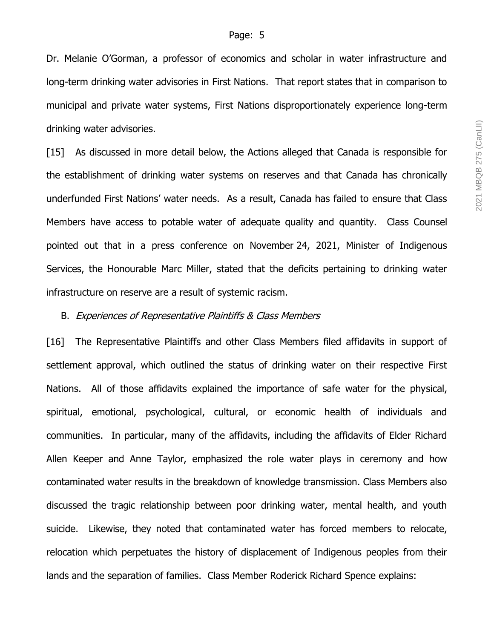Dr. Melanie O'Gorman, a professor of economics and scholar in water infrastructure and long-term drinking water advisories in First Nations. That report states that in comparison to municipal and private water systems, First Nations disproportionately experience long-term drinking water advisories.

[15] As discussed in more detail below, the Actions alleged that Canada is responsible for the establishment of drinking water systems on reserves and that Canada has chronically underfunded First Nations' water needs. As a result, Canada has failed to ensure that Class Members have access to potable water of adequate quality and quantity. Class Counsel pointed out that in a press conference on November 24, 2021, Minister of Indigenous Services, the Honourable Marc Miller, stated that the deficits pertaining to drinking water infrastructure on reserve are a result of systemic racism.

#### B. Experiences of Representative Plaintiffs & Class Members

[16] The Representative Plaintiffs and other Class Members filed affidavits in support of settlement approval, which outlined the status of drinking water on their respective First Nations. All of those affidavits explained the importance of safe water for the physical, spiritual, emotional, psychological, cultural, or economic health of individuals and communities. In particular, many of the affidavits, including the affidavits of Elder Richard Allen Keeper and Anne Taylor, emphasized the role water plays in ceremony and how contaminated water results in the breakdown of knowledge transmission. Class Members also discussed the tragic relationship between poor drinking water, mental health, and youth suicide. Likewise, they noted that contaminated water has forced members to relocate, relocation which perpetuates the history of displacement of Indigenous peoples from their lands and the separation of families. Class Member Roderick Richard Spence explains: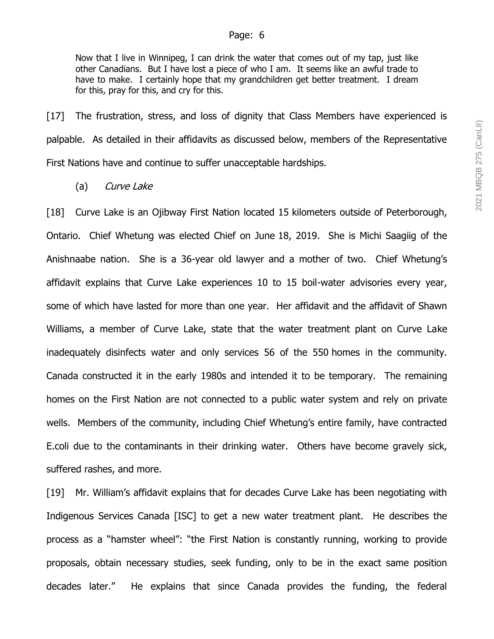Now that I live in Winnipeg, I can drink the water that comes out of my tap, just like other Canadians. But I have lost a piece of who I am. It seems like an awful trade to have to make. I certainly hope that my grandchildren get better treatment. I dream for this, pray for this, and cry for this.

[17] The frustration, stress, and loss of dignity that Class Members have experienced is palpable. As detailed in their affidavits as discussed below, members of the Representative First Nations have and continue to suffer unacceptable hardships.

(a) Curve Lake

[18] Curve Lake is an Ojibway First Nation located 15 kilometers outside of Peterborough, Ontario. Chief Whetung was elected Chief on June 18, 2019. She is Michi Saagiig of the Anishnaabe nation. She is a 36-year old lawyer and a mother of two. Chief Whetung's affidavit explains that Curve Lake experiences 10 to 15 boil-water advisories every year, some of which have lasted for more than one year. Her affidavit and the affidavit of Shawn Williams, a member of Curve Lake, state that the water treatment plant on Curve Lake inadequately disinfects water and only services 56 of the 550 homes in the community. Canada constructed it in the early 1980s and intended it to be temporary. The remaining homes on the First Nation are not connected to a public water system and rely on private wells. Members of the community, including Chief Whetung's entire family, have contracted E.coli due to the contaminants in their drinking water. Others have become gravely sick, suffered rashes, and more.

[19] Mr. William's affidavit explains that for decades Curve Lake has been negotiating with Indigenous Services Canada [ISC] to get a new water treatment plant. He describes the process as a "hamster wheel": "the First Nation is constantly running, working to provide proposals, obtain necessary studies, seek funding, only to be in the exact same position decades later." He explains that since Canada provides the funding, the federal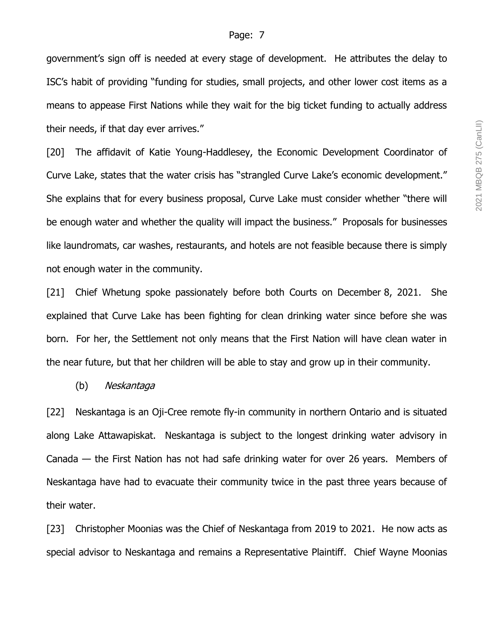government's sign off is needed at every stage of development. He attributes the delay to ISC's habit of providing "funding for studies, small projects, and other lower cost items as a means to appease First Nations while they wait for the big ticket funding to actually address their needs, if that day ever arrives."

[20] The affidavit of Katie Young-Haddlesey, the Economic Development Coordinator of Curve Lake, states that the water crisis has "strangled Curve Lake's economic development." She explains that for every business proposal, Curve Lake must consider whether "there will be enough water and whether the quality will impact the business." Proposals for businesses like laundromats, car washes, restaurants, and hotels are not feasible because there is simply not enough water in the community.

[21] Chief Whetung spoke passionately before both Courts on December 8, 2021. She explained that Curve Lake has been fighting for clean drinking water since before she was born. For her, the Settlement not only means that the First Nation will have clean water in the near future, but that her children will be able to stay and grow up in their community.

#### (b) Neskantaga

[22] Neskantaga is an Oji-Cree remote fly-in community in northern Ontario and is situated along Lake Attawapiskat. Neskantaga is subject to the longest drinking water advisory in Canada — the First Nation has not had safe drinking water for over 26 years. Members of Neskantaga have had to evacuate their community twice in the past three years because of their water.

[23] Christopher Moonias was the Chief of Neskantaga from 2019 to 2021. He now acts as special advisor to Neskantaga and remains a Representative Plaintiff. Chief Wayne Moonias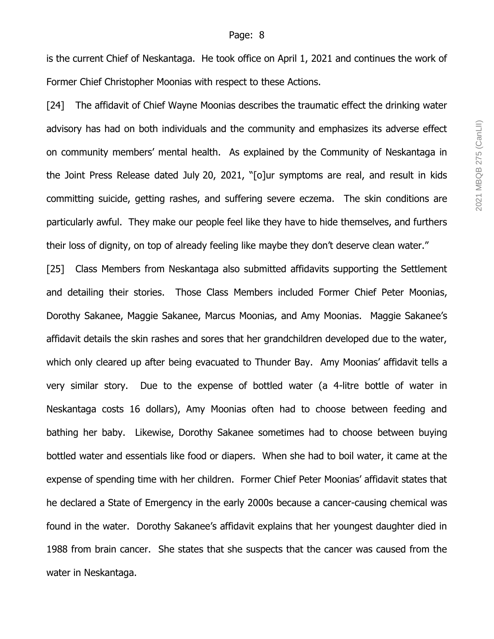is the current Chief of Neskantaga. He took office on April 1, 2021 and continues the work of Former Chief Christopher Moonias with respect to these Actions.

[24] The affidavit of Chief Wayne Moonias describes the traumatic effect the drinking water advisory has had on both individuals and the community and emphasizes its adverse effect on community members' mental health. As explained by the Community of Neskantaga in the Joint Press Release dated July 20, 2021, "[o]ur symptoms are real, and result in kids committing suicide, getting rashes, and suffering severe eczema. The skin conditions are particularly awful. They make our people feel like they have to hide themselves, and furthers their loss of dignity, on top of already feeling like maybe they don't deserve clean water."

[25] Class Members from Neskantaga also submitted affidavits supporting the Settlement and detailing their stories. Those Class Members included Former Chief Peter Moonias, Dorothy Sakanee, Maggie Sakanee, Marcus Moonias, and Amy Moonias. Maggie Sakanee's affidavit details the skin rashes and sores that her grandchildren developed due to the water, which only cleared up after being evacuated to Thunder Bay. Amy Moonias' affidavit tells a very similar story. Due to the expense of bottled water (a 4-litre bottle of water in Neskantaga costs 16 dollars), Amy Moonias often had to choose between feeding and bathing her baby. Likewise, Dorothy Sakanee sometimes had to choose between buying bottled water and essentials like food or diapers. When she had to boil water, it came at the expense of spending time with her children. Former Chief Peter Moonias' affidavit states that he declared a State of Emergency in the early 2000s because a cancer-causing chemical was found in the water. Dorothy Sakanee's affidavit explains that her youngest daughter died in 1988 from brain cancer. She states that she suspects that the cancer was caused from the water in Neskantaga.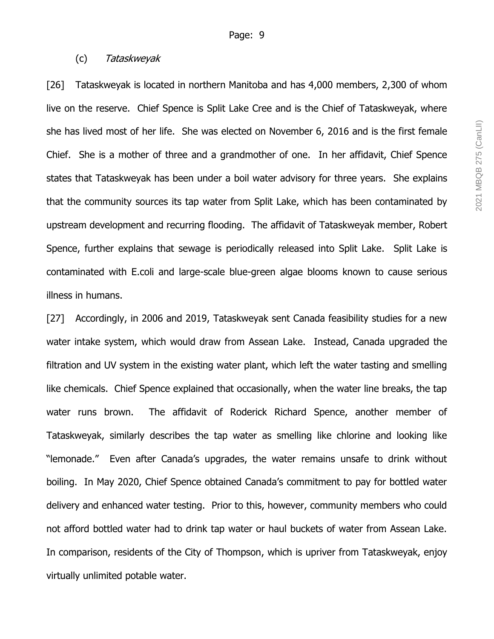# (c) Tataskweyak

[26] Tataskweyak is located in northern Manitoba and has 4,000 members, 2,300 of whom live on the reserve. Chief Spence is Split Lake Cree and is the Chief of Tataskweyak, where she has lived most of her life. She was elected on November 6, 2016 and is the first female Chief. She is a mother of three and a grandmother of one. In her affidavit, Chief Spence states that Tataskweyak has been under a boil water advisory for three years. She explains that the community sources its tap water from Split Lake, which has been contaminated by upstream development and recurring flooding. The affidavit of Tataskweyak member, Robert Spence, further explains that sewage is periodically released into Split Lake. Split Lake is contaminated with E.coli and large-scale blue-green algae blooms known to cause serious illness in humans.

[27] Accordingly, in 2006 and 2019, Tataskweyak sent Canada feasibility studies for a new water intake system, which would draw from Assean Lake. Instead, Canada upgraded the filtration and UV system in the existing water plant, which left the water tasting and smelling like chemicals. Chief Spence explained that occasionally, when the water line breaks, the tap water runs brown. The affidavit of Roderick Richard Spence, another member of Tataskweyak, similarly describes the tap water as smelling like chlorine and looking like "lemonade." Even after Canada's upgrades, the water remains unsafe to drink without boiling. In May 2020, Chief Spence obtained Canada's commitment to pay for bottled water delivery and enhanced water testing. Prior to this, however, community members who could not afford bottled water had to drink tap water or haul buckets of water from Assean Lake. In comparison, residents of the City of Thompson, which is upriver from Tataskweyak, enjoy virtually unlimited potable water.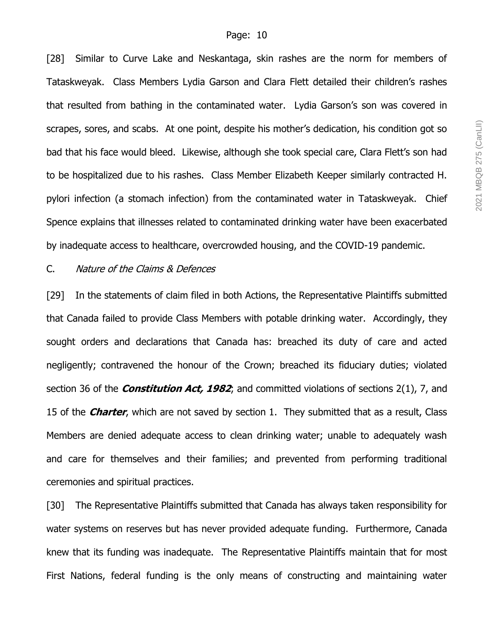[28] Similar to Curve Lake and Neskantaga, skin rashes are the norm for members of Tataskweyak. Class Members Lydia Garson and Clara Flett detailed their children's rashes that resulted from bathing in the contaminated water. Lydia Garson's son was covered in scrapes, sores, and scabs. At one point, despite his mother's dedication, his condition got so bad that his face would bleed. Likewise, although she took special care, Clara Flett's son had to be hospitalized due to his rashes. Class Member Elizabeth Keeper similarly contracted H. pylori infection (a stomach infection) from the contaminated water in Tataskweyak. Chief Spence explains that illnesses related to contaminated drinking water have been exacerbated by inadequate access to healthcare, overcrowded housing, and the COVID-19 pandemic.

#### C. Nature of the Claims & Defences

[29] In the statements of claim filed in both Actions, the Representative Plaintiffs submitted that Canada failed to provide Class Members with potable drinking water. Accordingly, they sought orders and declarations that Canada has: breached its duty of care and acted negligently; contravened the honour of the Crown; breached its fiduciary duties; violated section 36 of the **Constitution Act, 1982**; and committed violations of sections 2(1), 7, and 15 of the **Charter**, which are not saved by section 1. They submitted that as a result, Class Members are denied adequate access to clean drinking water; unable to adequately wash and care for themselves and their families; and prevented from performing traditional ceremonies and spiritual practices.

[30] The Representative Plaintiffs submitted that Canada has always taken responsibility for water systems on reserves but has never provided adequate funding. Furthermore, Canada knew that its funding was inadequate. The Representative Plaintiffs maintain that for most First Nations, federal funding is the only means of constructing and maintaining water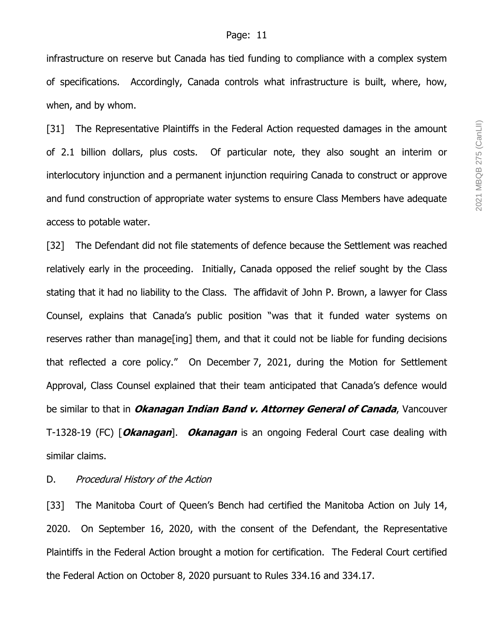infrastructure on reserve but Canada has tied funding to compliance with a complex system of specifications. Accordingly, Canada controls what infrastructure is built, where, how, when, and by whom.

[31] The Representative Plaintiffs in the Federal Action requested damages in the amount of 2.1 billion dollars, plus costs. Of particular note, they also sought an interim or interlocutory injunction and a permanent injunction requiring Canada to construct or approve and fund construction of appropriate water systems to ensure Class Members have adequate access to potable water.

[32] The Defendant did not file statements of defence because the Settlement was reached relatively early in the proceeding. Initially, Canada opposed the relief sought by the Class stating that it had no liability to the Class. The affidavit of John P. Brown, a lawyer for Class Counsel, explains that Canada's public position "was that it funded water systems on reserves rather than manage[ing] them, and that it could not be liable for funding decisions that reflected a core policy." On December 7, 2021, during the Motion for Settlement Approval, Class Counsel explained that their team anticipated that Canada's defence would be similar to that in **Okanagan Indian Band v. Attorney General of Canada**, Vancouver T-1328-19 (FC) [**Okanagan**]. **Okanagan** is an ongoing Federal Court case dealing with similar claims.

#### D. Procedural History of the Action

[33] The Manitoba Court of Queen's Bench had certified the Manitoba Action on July 14, 2020. On September 16, 2020, with the consent of the Defendant, the Representative Plaintiffs in the Federal Action brought a motion for certification. The Federal Court certified the Federal Action on October 8, 2020 pursuant to Rules 334.16 and 334.17.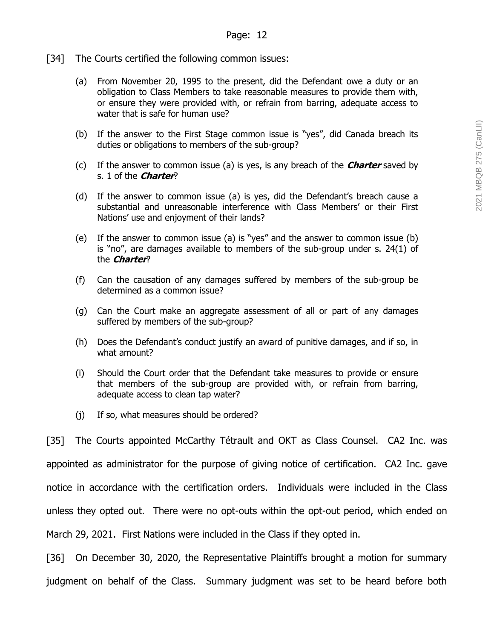- [34] The Courts certified the following common issues:
	- (a) From November 20, 1995 to the present, did the Defendant owe a duty or an obligation to Class Members to take reasonable measures to provide them with, or ensure they were provided with, or refrain from barring, adequate access to water that is safe for human use?
	- (b) If the answer to the First Stage common issue is "yes", did Canada breach its duties or obligations to members of the sub-group?
	- (c) If the answer to common issue (a) is yes, is any breach of the **Charter** saved by s. 1 of the **Charter**?
	- (d) If the answer to common issue (a) is yes, did the Defendant's breach cause a substantial and unreasonable interference with Class Members' or their First Nations' use and enjoyment of their lands?
	- (e) If the answer to common issue (a) is "yes" and the answer to common issue (b) is "no", are damages available to members of the sub-group under s. 24(1) of the **Charter**?
	- (f) Can the causation of any damages suffered by members of the sub-group be determined as a common issue?
	- (g) Can the Court make an aggregate assessment of all or part of any damages suffered by members of the sub-group?
	- (h) Does the Defendant's conduct justify an award of punitive damages, and if so, in what amount?
	- (i) Should the Court order that the Defendant take measures to provide or ensure that members of the sub-group are provided with, or refrain from barring, adequate access to clean tap water?
	- (j) If so, what measures should be ordered?

[35] The Courts appointed McCarthy Tétrault and OKT as Class Counsel. CA2 Inc. was appointed as administrator for the purpose of giving notice of certification. CA2 Inc. gave notice in accordance with the certification orders. Individuals were included in the Class unless they opted out. There were no opt-outs within the opt-out period, which ended on March 29, 2021. First Nations were included in the Class if they opted in.

[36] On December 30, 2020, the Representative Plaintiffs brought a motion for summary judgment on behalf of the Class. Summary judgment was set to be heard before both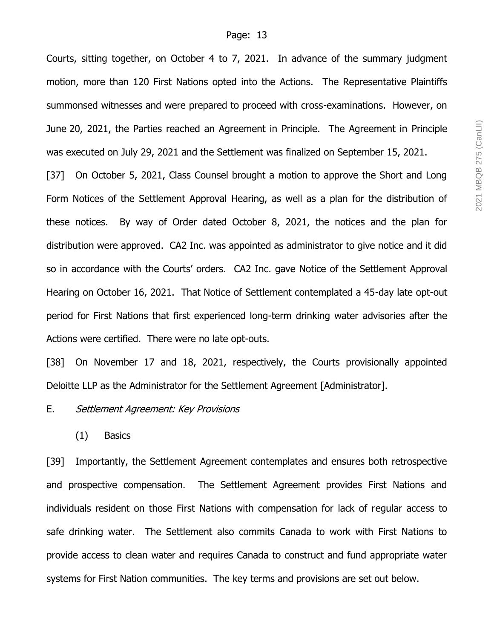Courts, sitting together, on October 4 to 7, 2021. In advance of the summary judgment motion, more than 120 First Nations opted into the Actions. The Representative Plaintiffs summonsed witnesses and were prepared to proceed with cross-examinations. However, on June 20, 2021, the Parties reached an Agreement in Principle. The Agreement in Principle was executed on July 29, 2021 and the Settlement was finalized on September 15, 2021.

[37] On October 5, 2021, Class Counsel brought a motion to approve the Short and Long Form Notices of the Settlement Approval Hearing, as well as a plan for the distribution of these notices. By way of Order dated October 8, 2021, the notices and the plan for distribution were approved. CA2 Inc. was appointed as administrator to give notice and it did so in accordance with the Courts' orders. CA2 Inc. gave Notice of the Settlement Approval Hearing on October 16, 2021. That Notice of Settlement contemplated a 45-day late opt-out period for First Nations that first experienced long-term drinking water advisories after the Actions were certified. There were no late opt-outs.

[38] On November 17 and 18, 2021, respectively, the Courts provisionally appointed Deloitte LLP as the Administrator for the Settlement Agreement [Administrator].

#### E. Settlement Agreement: Key Provisions

(1) Basics

[39] Importantly, the Settlement Agreement contemplates and ensures both retrospective and prospective compensation. The Settlement Agreement provides First Nations and individuals resident on those First Nations with compensation for lack of regular access to safe drinking water. The Settlement also commits Canada to work with First Nations to provide access to clean water and requires Canada to construct and fund appropriate water systems for First Nation communities. The key terms and provisions are set out below.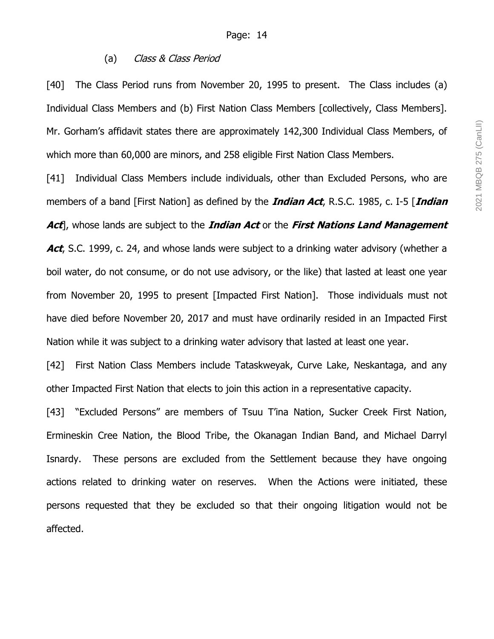### (a) Class & Class Period

[40] The Class Period runs from November 20, 1995 to present. The Class includes (a) Individual Class Members and (b) First Nation Class Members [collectively, Class Members]. Mr. Gorham's affidavit states there are approximately 142,300 Individual Class Members, of which more than 60,000 are minors, and 258 eligible First Nation Class Members.

[41] Individual Class Members include individuals, other than Excluded Persons, who are members of a band [First Nation] as defined by the **Indian Act**, R.S.C. 1985, c. I-5 [**Indian Act**], whose lands are subject to the **Indian Act** or the **First Nations Land Management**  Act, S.C. 1999, c. 24, and whose lands were subject to a drinking water advisory (whether a boil water, do not consume, or do not use advisory, or the like) that lasted at least one year from November 20, 1995 to present [Impacted First Nation]. Those individuals must not have died before November 20, 2017 and must have ordinarily resided in an Impacted First Nation while it was subject to a drinking water advisory that lasted at least one year.

[42] First Nation Class Members include Tataskweyak, Curve Lake, Neskantaga, and any other Impacted First Nation that elects to join this action in a representative capacity.

[43] "Excluded Persons" are members of Tsuu T'ina Nation, Sucker Creek First Nation, Ermineskin Cree Nation, the Blood Tribe, the Okanagan Indian Band, and Michael Darryl Isnardy. These persons are excluded from the Settlement because they have ongoing actions related to drinking water on reserves. When the Actions were initiated, these persons requested that they be excluded so that their ongoing litigation would not be affected.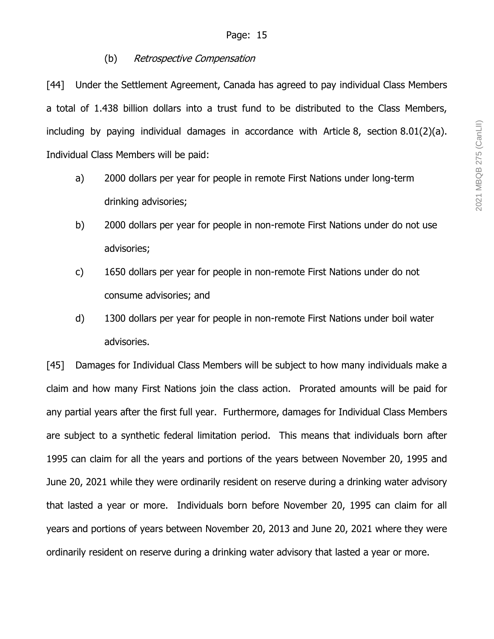# (b) Retrospective Compensation

[44] Under the Settlement Agreement, Canada has agreed to pay individual Class Members a total of 1.438 billion dollars into a trust fund to be distributed to the Class Members, including by paying individual damages in accordance with Article 8, section 8.01(2)(a). Individual Class Members will be paid:

- a) 2000 dollars per year for people in remote First Nations under long-term drinking advisories;
- b) 2000 dollars per year for people in non-remote First Nations under do not use advisories;
- c) 1650 dollars per year for people in non-remote First Nations under do not consume advisories; and
- d) 1300 dollars per year for people in non-remote First Nations under boil water advisories.

[45] Damages for Individual Class Members will be subject to how many individuals make a claim and how many First Nations join the class action. Prorated amounts will be paid for any partial years after the first full year. Furthermore, damages for Individual Class Members are subject to a synthetic federal limitation period. This means that individuals born after 1995 can claim for all the years and portions of the years between November 20, 1995 and June 20, 2021 while they were ordinarily resident on reserve during a drinking water advisory that lasted a year or more. Individuals born before November 20, 1995 can claim for all years and portions of years between November 20, 2013 and June 20, 2021 where they were ordinarily resident on reserve during a drinking water advisory that lasted a year or more.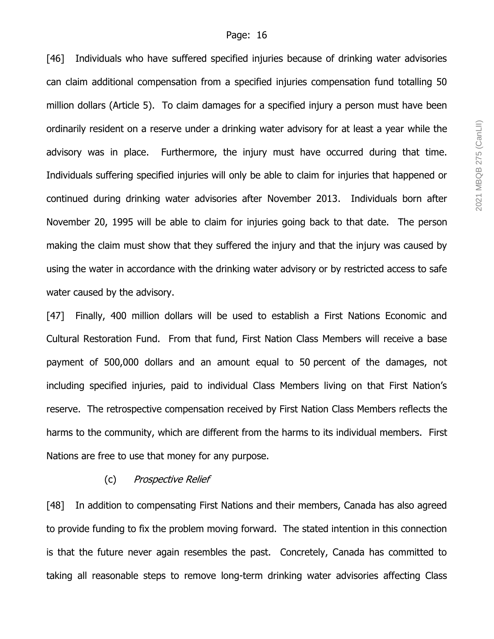[46] Individuals who have suffered specified injuries because of drinking water advisories can claim additional compensation from a specified injuries compensation fund totalling 50 million dollars (Article 5). To claim damages for a specified injury a person must have been ordinarily resident on a reserve under a drinking water advisory for at least a year while the advisory was in place. Furthermore, the injury must have occurred during that time. Individuals suffering specified injuries will only be able to claim for injuries that happened or continued during drinking water advisories after November 2013. Individuals born after November 20, 1995 will be able to claim for injuries going back to that date. The person making the claim must show that they suffered the injury and that the injury was caused by using the water in accordance with the drinking water advisory or by restricted access to safe water caused by the advisory.

[47] Finally, 400 million dollars will be used to establish a First Nations Economic and Cultural Restoration Fund. From that fund, First Nation Class Members will receive a base payment of 500,000 dollars and an amount equal to 50 percent of the damages, not including specified injuries, paid to individual Class Members living on that First Nation's reserve. The retrospective compensation received by First Nation Class Members reflects the harms to the community, which are different from the harms to its individual members. First Nations are free to use that money for any purpose.

#### (c) Prospective Relief

[48] In addition to compensating First Nations and their members, Canada has also agreed to provide funding to fix the problem moving forward. The stated intention in this connection is that the future never again resembles the past. Concretely, Canada has committed to taking all reasonable steps to remove long-term drinking water advisories affecting Class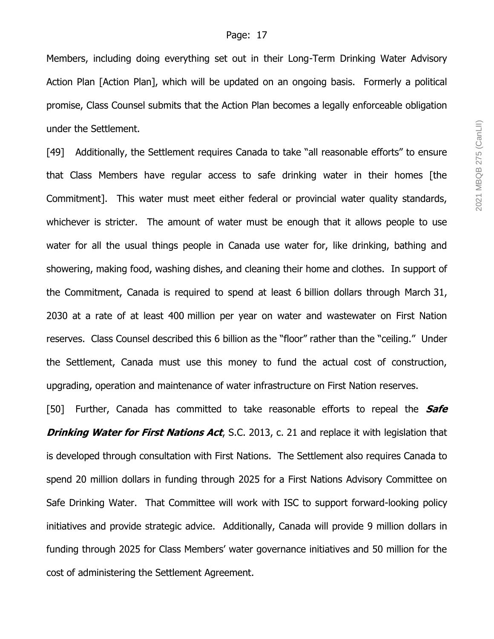Members, including doing everything set out in their Long-Term Drinking Water Advisory Action Plan [Action Plan], which will be updated on an ongoing basis. Formerly a political promise, Class Counsel submits that the Action Plan becomes a legally enforceable obligation under the Settlement.

[49] Additionally, the Settlement requires Canada to take "all reasonable efforts" to ensure that Class Members have regular access to safe drinking water in their homes [the Commitment]. This water must meet either federal or provincial water quality standards, whichever is stricter. The amount of water must be enough that it allows people to use water for all the usual things people in Canada use water for, like drinking, bathing and showering, making food, washing dishes, and cleaning their home and clothes. In support of the Commitment, Canada is required to spend at least 6 billion dollars through March 31, 2030 at a rate of at least 400 million per year on water and wastewater on First Nation reserves. Class Counsel described this 6 billion as the "floor" rather than the "ceiling." Under the Settlement, Canada must use this money to fund the actual cost of construction, upgrading, operation and maintenance of water infrastructure on First Nation reserves.

[50] Further, Canada has committed to take reasonable efforts to repeal the **Safe Drinking Water for First Nations Act**, S.C. 2013, c. 21 and replace it with legislation that is developed through consultation with First Nations. The Settlement also requires Canada to spend 20 million dollars in funding through 2025 for a First Nations Advisory Committee on Safe Drinking Water. That Committee will work with ISC to support forward-looking policy initiatives and provide strategic advice. Additionally, Canada will provide 9 million dollars in funding through 2025 for Class Members' water governance initiatives and 50 million for the cost of administering the Settlement Agreement.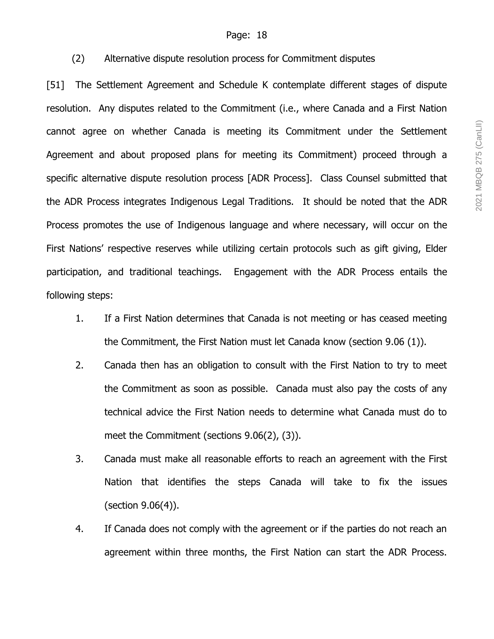# (2) Alternative dispute resolution process for Commitment disputes

[51] The Settlement Agreement and Schedule K contemplate different stages of dispute resolution. Any disputes related to the Commitment (i.e., where Canada and a First Nation cannot agree on whether Canada is meeting its Commitment under the Settlement Agreement and about proposed plans for meeting its Commitment) proceed through a specific alternative dispute resolution process [ADR Process]. Class Counsel submitted that the ADR Process integrates Indigenous Legal Traditions. It should be noted that the ADR Process promotes the use of Indigenous language and where necessary, will occur on the First Nations' respective reserves while utilizing certain protocols such as gift giving, Elder participation, and traditional teachings. Engagement with the ADR Process entails the following steps:

- 1. If a First Nation determines that Canada is not meeting or has ceased meeting the Commitment, the First Nation must let Canada know (section 9.06 (1)).
- 2. Canada then has an obligation to consult with the First Nation to try to meet the Commitment as soon as possible. Canada must also pay the costs of any technical advice the First Nation needs to determine what Canada must do to meet the Commitment (sections 9.06(2), (3)).
- 3. Canada must make all reasonable efforts to reach an agreement with the First Nation that identifies the steps Canada will take to fix the issues (section 9.06(4)).
- 4. If Canada does not comply with the agreement or if the parties do not reach an agreement within three months, the First Nation can start the ADR Process.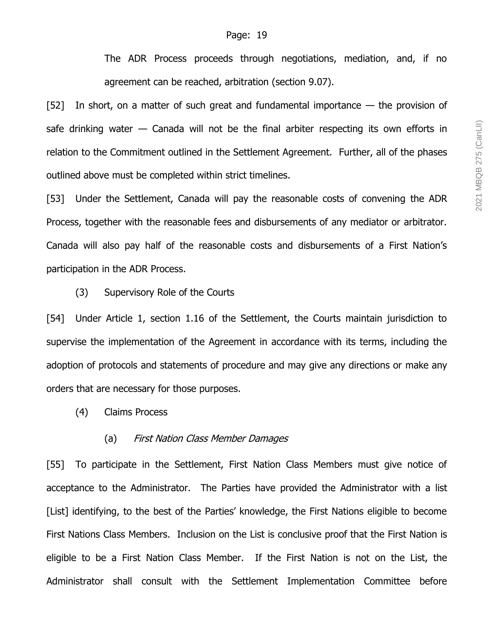The ADR Process proceeds through negotiations, mediation, and, if no agreement can be reached, arbitration (section 9.07).

[52] In short, on a matter of such great and fundamental importance  $-$  the provision of safe drinking water — Canada will not be the final arbiter respecting its own efforts in relation to the Commitment outlined in the Settlement Agreement. Further, all of the phases outlined above must be completed within strict timelines.

[53] Under the Settlement, Canada will pay the reasonable costs of convening the ADR Process, together with the reasonable fees and disbursements of any mediator or arbitrator. Canada will also pay half of the reasonable costs and disbursements of a First Nation's participation in the ADR Process.

#### (3) Supervisory Role of the Courts

[54] Under Article 1, section 1.16 of the Settlement, the Courts maintain jurisdiction to supervise the implementation of the Agreement in accordance with its terms, including the adoption of protocols and statements of procedure and may give any directions or make any orders that are necessary for those purposes.

(4) Claims Process

### (a) First Nation Class Member Damages

[55] To participate in the Settlement, First Nation Class Members must give notice of acceptance to the Administrator. The Parties have provided the Administrator with a list [List] identifying, to the best of the Parties' knowledge, the First Nations eligible to become First Nations Class Members. Inclusion on the List is conclusive proof that the First Nation is eligible to be a First Nation Class Member. If the First Nation is not on the List, the Administrator shall consult with the Settlement Implementation Committee before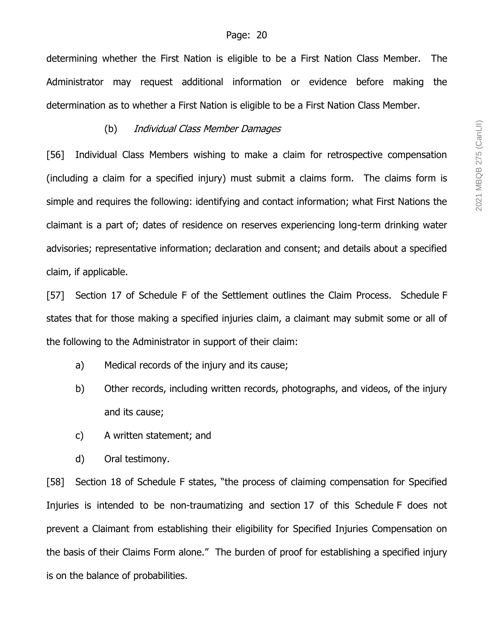determining whether the First Nation is eligible to be a First Nation Class Member. The Administrator may request additional information or evidence before making the determination as to whether a First Nation is eligible to be a First Nation Class Member.

#### (b) Individual Class Member Damages

[56] Individual Class Members wishing to make a claim for retrospective compensation (including a claim for a specified injury) must submit a claims form. The claims form is simple and requires the following: identifying and contact information; what First Nations the claimant is a part of; dates of residence on reserves experiencing long-term drinking water advisories; representative information; declaration and consent; and details about a specified claim, if applicable.

[57] Section 17 of Schedule F of the Settlement outlines the Claim Process. Schedule F states that for those making a specified injuries claim, a claimant may submit some or all of the following to the Administrator in support of their claim:

- a) Medical records of the injury and its cause;
- b) Other records, including written records, photographs, and videos, of the injury and its cause;
- c) A written statement; and
- d) Oral testimony.

[58] Section 18 of Schedule F states, "the process of claiming compensation for Specified Injuries is intended to be non-traumatizing and section 17 of this Schedule F does not prevent a Claimant from establishing their eligibility for Specified Injuries Compensation on the basis of their Claims Form alone." The burden of proof for establishing a specified injury is on the balance of probabilities.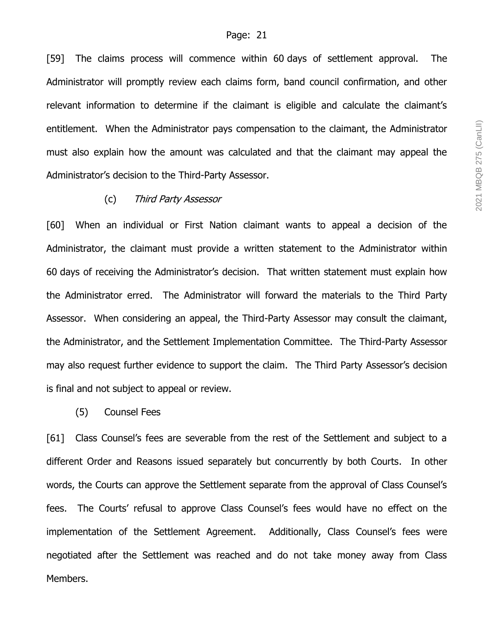[59] The claims process will commence within 60 days of settlement approval. The Administrator will promptly review each claims form, band council confirmation, and other relevant information to determine if the claimant is eligible and calculate the claimant's entitlement. When the Administrator pays compensation to the claimant, the Administrator must also explain how the amount was calculated and that the claimant may appeal the Administrator's decision to the Third-Party Assessor.

#### (c) Third Party Assessor

[60] When an individual or First Nation claimant wants to appeal a decision of the Administrator, the claimant must provide a written statement to the Administrator within 60 days of receiving the Administrator's decision. That written statement must explain how the Administrator erred. The Administrator will forward the materials to the Third Party Assessor. When considering an appeal, the Third-Party Assessor may consult the claimant, the Administrator, and the Settlement Implementation Committee. The Third-Party Assessor may also request further evidence to support the claim. The Third Party Assessor's decision is final and not subject to appeal or review.

#### (5) Counsel Fees

[61] Class Counsel's fees are severable from the rest of the Settlement and subject to a different Order and Reasons issued separately but concurrently by both Courts. In other words, the Courts can approve the Settlement separate from the approval of Class Counsel's fees. The Courts' refusal to approve Class Counsel's fees would have no effect on the implementation of the Settlement Agreement. Additionally, Class Counsel's fees were negotiated after the Settlement was reached and do not take money away from Class Members.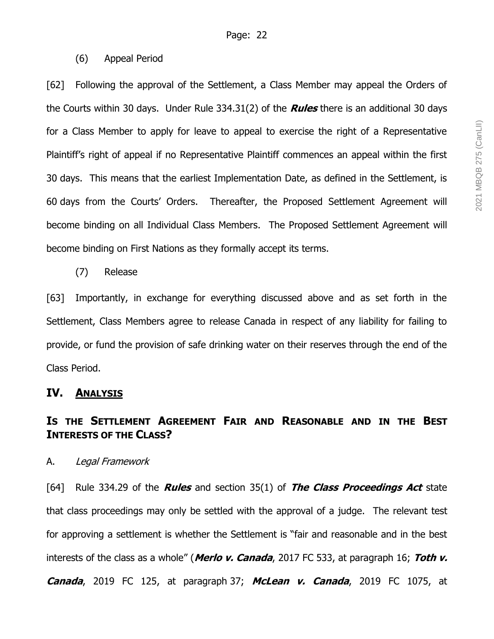### (6) Appeal Period

[62] Following the approval of the Settlement, a Class Member may appeal the Orders of the Courts within 30 days. Under Rule 334.31(2) of the **Rules** there is an additional 30 days for a Class Member to apply for leave to appeal to exercise the right of a Representative Plaintiff's right of appeal if no Representative Plaintiff commences an appeal within the first 30 days. This means that the earliest Implementation Date, as defined in the Settlement, is 60 days from the Courts' Orders. Thereafter, the Proposed Settlement Agreement will become binding on all Individual Class Members. The Proposed Settlement Agreement will become binding on First Nations as they formally accept its terms.

### (7) Release

[63] Importantly, in exchange for everything discussed above and as set forth in the Settlement, Class Members agree to release Canada in respect of any liability for failing to provide, or fund the provision of safe drinking water on their reserves through the end of the Class Period.

### **IV. ANALYSIS**

# **IS THE SETTLEMENT AGREEMENT FAIR AND REASONABLE AND IN THE BEST INTERESTS OF THE CLASS?**

#### A. Legal Framework

[64] Rule 334.29 of the **Rules** and section 35(1) of **The Class Proceedings Act** state that class proceedings may only be settled with the approval of a judge. The relevant test for approving a settlement is whether the Settlement is "fair and reasonable and in the best interests of the class as a whole" (**Merlo v. Canada**, 2017 FC 533, at paragraph 16; **Toth v. Canada**, 2019 FC 125, at paragraph 37; **McLean v. Canada**, 2019 FC 1075, at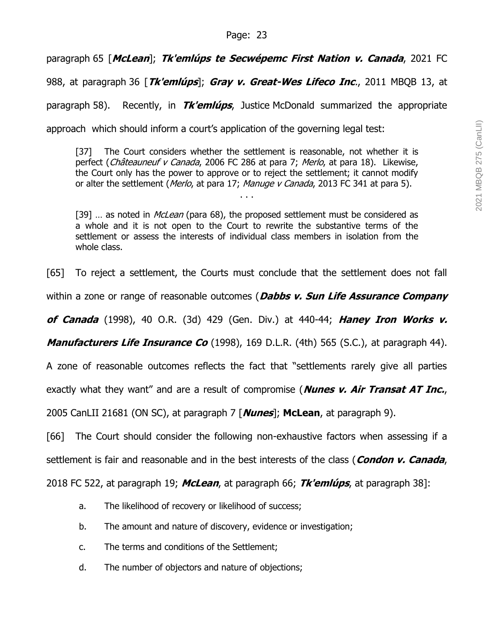paragraph 65 [**McLean**]; **Tk'emlúps te Secwépemc First Nation v. Canada**, 2021 FC

988, at paragraph 36 [**Tk'emlúps**]; **Gray v. Great-Wes Lifeco Inc**., 2011 MBQB 13, at

paragraph 58). Recently, in **Tk'emlúps**, Justice McDonald summarized the appropriate

approach which should inform a court's application of the governing legal test:

[37] The Court considers whether the settlement is reasonable, not whether it is perfect (Châteauneuf v Canada, 2006 FC 286 at para 7; Merlo, at para 18). Likewise, the Court only has the power to approve or to reject the settlement; it cannot modify or alter the settlement (*Merlo*, at para 17; *Manuge v Canada*, 2013 FC 341 at para 5).

. . .

[39] ... as noted in *McLean* (para 68), the proposed settlement must be considered as a whole and it is not open to the Court to rewrite the substantive terms of the settlement or assess the interests of individual class members in isolation from the whole class.

[65] To reject a settlement, the Courts must conclude that the settlement does not fall

within a zone or range of reasonable outcomes (**Dabbs v. Sun Life Assurance Company** 

**of Canada** (1998), 40 O.R. (3d) 429 (Gen. Div.) at 440-44; **Haney Iron Works v.**

**Manufacturers Life Insurance Co** (1998), 169 D.L.R. (4th) 565 (S.C.), at paragraph 44).

A zone of reasonable outcomes reflects the fact that "settlements rarely give all parties

exactly what they want" and are a result of compromise (**Nunes v. Air Transat AT Inc.**,

2005 CanLII 21681 (ON SC), at paragraph 7 [**Nunes**]; **McLean**, at paragraph 9).

[66] The Court should consider the following non-exhaustive factors when assessing if a settlement is fair and reasonable and in the best interests of the class (**Condon v. Canada**,

2018 FC 522, at paragraph 19; **McLean**, at paragraph 66; **Tk'emlúps**, at paragraph 38]:

- a. The likelihood of recovery or likelihood of success;
- b. The amount and nature of discovery, evidence or investigation;
- c. The terms and conditions of the Settlement;
- d. The number of objectors and nature of objections;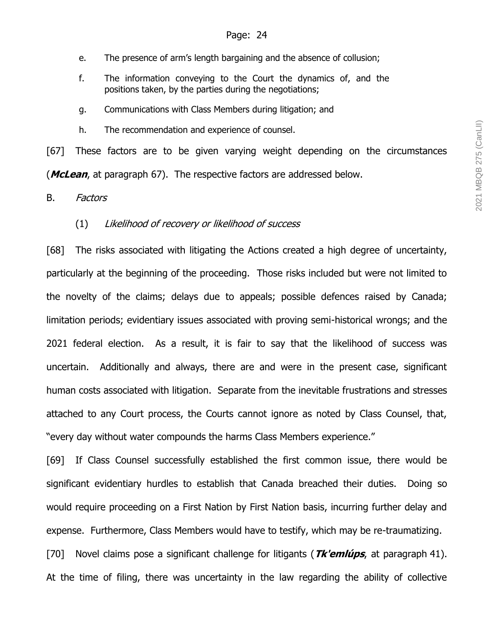- e. The presence of arm's length bargaining and the absence of collusion;
- f. The information conveying to the Court the dynamics of, and the positions taken, by the parties during the negotiations;
- g. Communications with Class Members during litigation; and
- h. The recommendation and experience of counsel.

[67] These factors are to be given varying weight depending on the circumstances (**McLean**, at paragraph 67). The respective factors are addressed below.

#### B. Factors

#### (1) Likelihood of recovery or likelihood of success

[68] The risks associated with litigating the Actions created a high degree of uncertainty, particularly at the beginning of the proceeding. Those risks included but were not limited to the novelty of the claims; delays due to appeals; possible defences raised by Canada; limitation periods; evidentiary issues associated with proving semi-historical wrongs; and the 2021 federal election. As a result, it is fair to say that the likelihood of success was uncertain. Additionally and always, there are and were in the present case, significant human costs associated with litigation. Separate from the inevitable frustrations and stresses attached to any Court process, the Courts cannot ignore as noted by Class Counsel, that, "every day without water compounds the harms Class Members experience."

[69] If Class Counsel successfully established the first common issue, there would be significant evidentiary hurdles to establish that Canada breached their duties. Doing so would require proceeding on a First Nation by First Nation basis, incurring further delay and expense. Furthermore, Class Members would have to testify, which may be re-traumatizing. [70] Novel claims pose a significant challenge for litigants (**Tk'emlúps**, at paragraph 41). At the time of filing, there was uncertainty in the law regarding the ability of collective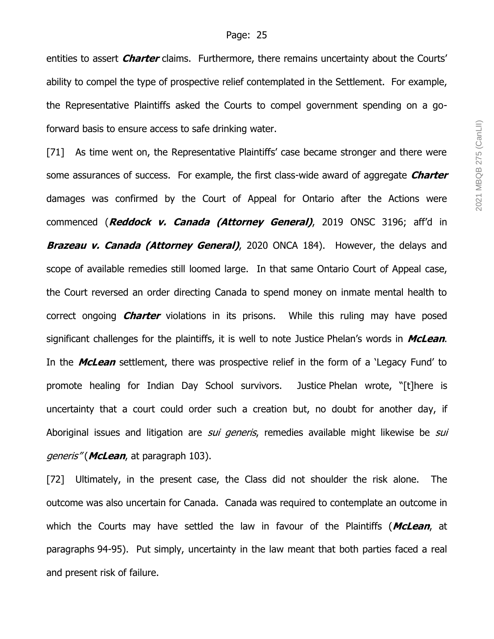entities to assert **Charter** claims. Furthermore, there remains uncertainty about the Courts' ability to compel the type of prospective relief contemplated in the Settlement. For example, the Representative Plaintiffs asked the Courts to compel government spending on a goforward basis to ensure access to safe drinking water.

[71] As time went on, the Representative Plaintiffs' case became stronger and there were some assurances of success. For example, the first class-wide award of aggregate **Charter** damages was confirmed by the Court of Appeal for Ontario after the Actions were commenced (**Reddock v. Canada (Attorney General)**, 2019 ONSC 3196; aff'd in **Brazeau v. Canada (Attorney General)**, 2020 ONCA 184). However, the delays and scope of available remedies still loomed large. In that same Ontario Court of Appeal case, the Court reversed an order directing Canada to spend money on inmate mental health to correct ongoing **Charter** violations in its prisons. While this ruling may have posed significant challenges for the plaintiffs, it is well to note Justice Phelan's words in **McLean**. In the **McLean** settlement, there was prospective relief in the form of a 'Legacy Fund' to promote healing for Indian Day School survivors. Justice Phelan wrote, "[t]here is uncertainty that a court could order such a creation but, no doubt for another day, if Aboriginal issues and litigation are *sui generis*, remedies available might likewise be *sui* generis" (**McLean**, at paragraph 103).

[72] Ultimately, in the present case, the Class did not shoulder the risk alone. The outcome was also uncertain for Canada. Canada was required to contemplate an outcome in which the Courts may have settled the law in favour of the Plaintiffs (**McLean**, at paragraphs 94-95). Put simply, uncertainty in the law meant that both parties faced a real and present risk of failure.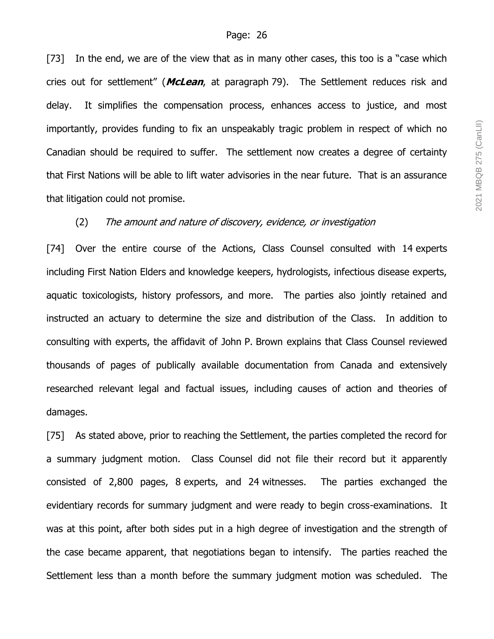[73] In the end, we are of the view that as in many other cases, this too is a "case which cries out for settlement" (**McLean**, at paragraph 79). The Settlement reduces risk and delay. It simplifies the compensation process, enhances access to justice, and most importantly, provides funding to fix an unspeakably tragic problem in respect of which no Canadian should be required to suffer. The settlement now creates a degree of certainty that First Nations will be able to lift water advisories in the near future. That is an assurance that litigation could not promise.

#### (2) The amount and nature of discovery, evidence, or investigation

[74] Over the entire course of the Actions, Class Counsel consulted with 14 experts including First Nation Elders and knowledge keepers, hydrologists, infectious disease experts, aquatic toxicologists, history professors, and more. The parties also jointly retained and instructed an actuary to determine the size and distribution of the Class. In addition to consulting with experts, the affidavit of John P. Brown explains that Class Counsel reviewed thousands of pages of publically available documentation from Canada and extensively researched relevant legal and factual issues, including causes of action and theories of damages.

[75] As stated above, prior to reaching the Settlement, the parties completed the record for a summary judgment motion. Class Counsel did not file their record but it apparently consisted of 2,800 pages, 8 experts, and 24 witnesses. The parties exchanged the evidentiary records for summary judgment and were ready to begin cross-examinations. It was at this point, after both sides put in a high degree of investigation and the strength of the case became apparent, that negotiations began to intensify. The parties reached the Settlement less than a month before the summary judgment motion was scheduled. The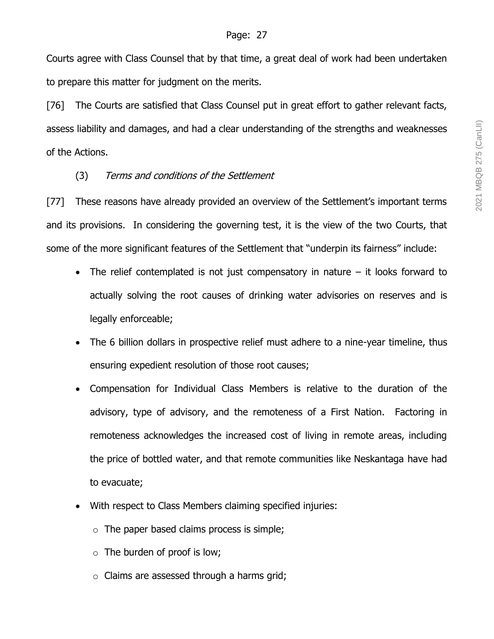Courts agree with Class Counsel that by that time, a great deal of work had been undertaken to prepare this matter for judgment on the merits.

[76] The Courts are satisfied that Class Counsel put in great effort to gather relevant facts, assess liability and damages, and had a clear understanding of the strengths and weaknesses of the Actions.

# (3) Terms and conditions of the Settlement

[77] These reasons have already provided an overview of the Settlement's important terms and its provisions. In considering the governing test, it is the view of the two Courts, that some of the more significant features of the Settlement that "underpin its fairness" include:

- The relief contemplated is not just compensatory in nature  $-$  it looks forward to actually solving the root causes of drinking water advisories on reserves and is legally enforceable;
- The 6 billion dollars in prospective relief must adhere to a nine-year timeline, thus ensuring expedient resolution of those root causes;
- Compensation for Individual Class Members is relative to the duration of the advisory, type of advisory, and the remoteness of a First Nation. Factoring in remoteness acknowledges the increased cost of living in remote areas, including the price of bottled water, and that remote communities like Neskantaga have had to evacuate;
- With respect to Class Members claiming specified injuries:
	- $\circ$  The paper based claims process is simple;
	- $\circ$  The burden of proof is low;
	- $\circ$  Claims are assessed through a harms grid;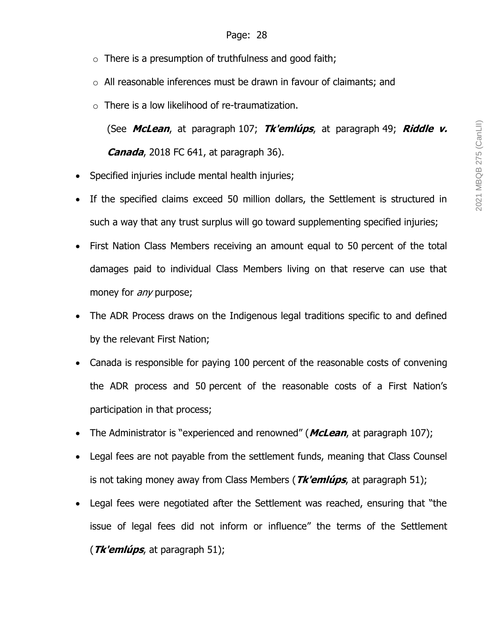- $\circ$  There is a presumption of truthfulness and good faith;
- o All reasonable inferences must be drawn in favour of claimants; and
- $\circ$  There is a low likelihood of re-traumatization.

(See **McLean**, at paragraph 107; **Tk'emlúps**, at paragraph 49; **Riddle v. Canada**, 2018 FC 641, at paragraph 36).

- Specified injuries include mental health injuries;
- If the specified claims exceed 50 million dollars, the Settlement is structured in such a way that any trust surplus will go toward supplementing specified injuries;
- First Nation Class Members receiving an amount equal to 50 percent of the total damages paid to individual Class Members living on that reserve can use that money for *any* purpose;
- The ADR Process draws on the Indigenous legal traditions specific to and defined by the relevant First Nation;
- Canada is responsible for paying 100 percent of the reasonable costs of convening the ADR process and 50 percent of the reasonable costs of a First Nation's participation in that process;
- The Administrator is "experienced and renowned" (**McLean**, at paragraph 107);
- Legal fees are not payable from the settlement funds, meaning that Class Counsel is not taking money away from Class Members (**Tk'emlúps**, at paragraph 51);
- Legal fees were negotiated after the Settlement was reached, ensuring that "the issue of legal fees did not inform or influence" the terms of the Settlement (**Tk'emlúps**, at paragraph 51);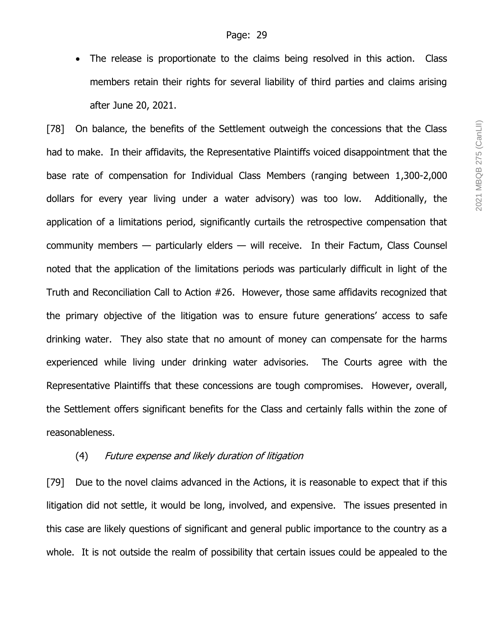• The release is proportionate to the claims being resolved in this action. Class members retain their rights for several liability of third parties and claims arising after June 20, 2021.

[78] On balance, the benefits of the Settlement outweigh the concessions that the Class had to make. In their affidavits, the Representative Plaintiffs voiced disappointment that the base rate of compensation for Individual Class Members (ranging between 1,300-2,000 dollars for every year living under a water advisory) was too low. Additionally, the application of a limitations period, significantly curtails the retrospective compensation that community members — particularly elders — will receive. In their Factum, Class Counsel noted that the application of the limitations periods was particularly difficult in light of the Truth and Reconciliation Call to Action #26. However, those same affidavits recognized that the primary objective of the litigation was to ensure future generations' access to safe drinking water. They also state that no amount of money can compensate for the harms experienced while living under drinking water advisories. The Courts agree with the Representative Plaintiffs that these concessions are tough compromises. However, overall, the Settlement offers significant benefits for the Class and certainly falls within the zone of reasonableness.

#### (4) Future expense and likely duration of litigation

[79] Due to the novel claims advanced in the Actions, it is reasonable to expect that if this litigation did not settle, it would be long, involved, and expensive. The issues presented in this case are likely questions of significant and general public importance to the country as a whole. It is not outside the realm of possibility that certain issues could be appealed to the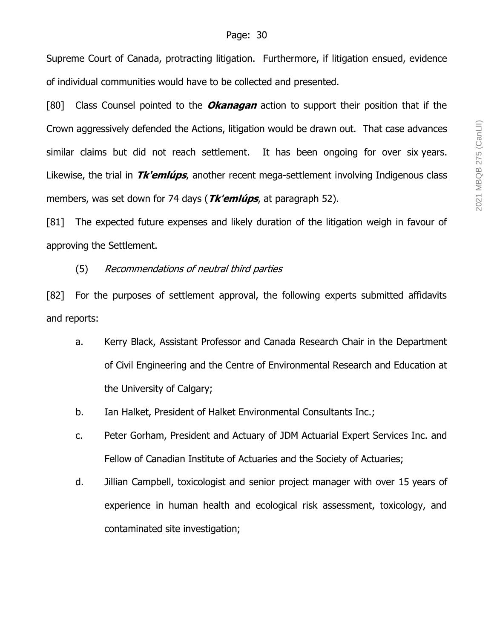Supreme Court of Canada, protracting litigation. Furthermore, if litigation ensued, evidence of individual communities would have to be collected and presented.

[80] Class Counsel pointed to the **Okanagan** action to support their position that if the Crown aggressively defended the Actions, litigation would be drawn out. That case advances similar claims but did not reach settlement. It has been ongoing for over six years. Likewise, the trial in **Tk'emlúps**, another recent mega-settlement involving Indigenous class members, was set down for 74 days (**Tk'emlúps**, at paragraph 52).

[81] The expected future expenses and likely duration of the litigation weigh in favour of approving the Settlement.

(5) Recommendations of neutral third parties

[82] For the purposes of settlement approval, the following experts submitted affidavits and reports:

- a. Kerry Black, Assistant Professor and Canada Research Chair in the Department of Civil Engineering and the Centre of Environmental Research and Education at the University of Calgary;
- b. Ian Halket, President of Halket Environmental Consultants Inc.;
- c. Peter Gorham, President and Actuary of JDM Actuarial Expert Services Inc. and Fellow of Canadian Institute of Actuaries and the Society of Actuaries;
- d. Jillian Campbell, toxicologist and senior project manager with over 15 years of experience in human health and ecological risk assessment, toxicology, and contaminated site investigation;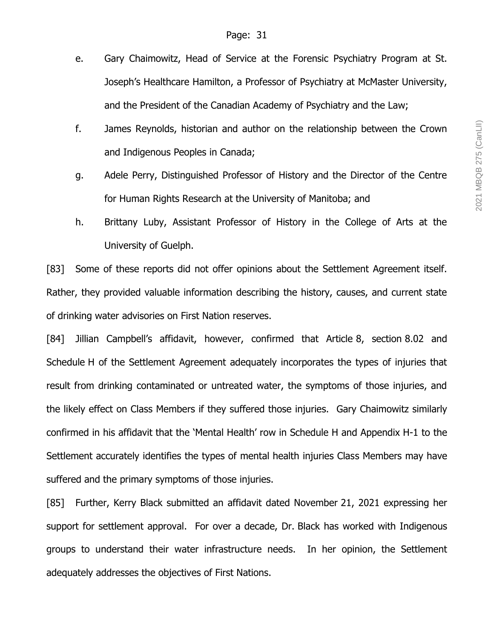- e. Gary Chaimowitz, Head of Service at the Forensic Psychiatry Program at St. Joseph's Healthcare Hamilton, a Professor of Psychiatry at McMaster University, and the President of the Canadian Academy of Psychiatry and the Law;
- f. James Reynolds, historian and author on the relationship between the Crown and Indigenous Peoples in Canada;
- g. Adele Perry, Distinguished Professor of History and the Director of the Centre for Human Rights Research at the University of Manitoba; and
- h. Brittany Luby, Assistant Professor of History in the College of Arts at the University of Guelph.

[83] Some of these reports did not offer opinions about the Settlement Agreement itself. Rather, they provided valuable information describing the history, causes, and current state of drinking water advisories on First Nation reserves.

[84] Jillian Campbell's affidavit, however, confirmed that Article 8, section 8.02 and Schedule H of the Settlement Agreement adequately incorporates the types of injuries that result from drinking contaminated or untreated water, the symptoms of those injuries, and the likely effect on Class Members if they suffered those injuries. Gary Chaimowitz similarly confirmed in his affidavit that the 'Mental Health' row in Schedule H and Appendix H-1 to the Settlement accurately identifies the types of mental health injuries Class Members may have suffered and the primary symptoms of those injuries.

[85] Further, Kerry Black submitted an affidavit dated November 21, 2021 expressing her support for settlement approval. For over a decade, Dr. Black has worked with Indigenous groups to understand their water infrastructure needs. In her opinion, the Settlement adequately addresses the objectives of First Nations.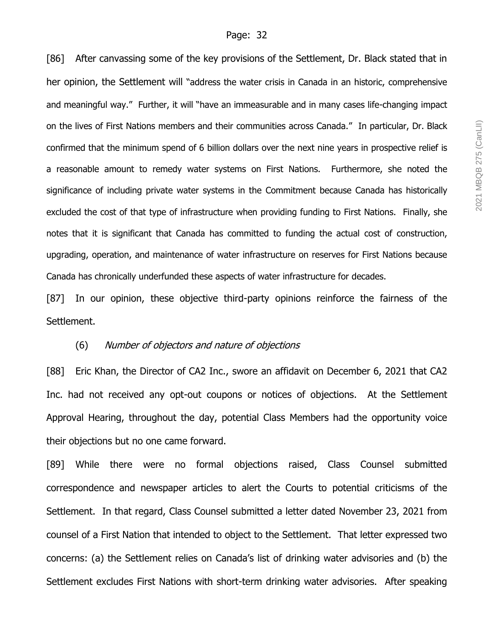[86] After canvassing some of the key provisions of the Settlement, Dr. Black stated that in her opinion, the Settlement will "address the water crisis in Canada in an historic, comprehensive and meaningful way." Further, it will "have an immeasurable and in many cases life-changing impact on the lives of First Nations members and their communities across Canada." In particular, Dr. Black confirmed that the minimum spend of 6 billion dollars over the next nine years in prospective relief is a reasonable amount to remedy water systems on First Nations. Furthermore, she noted the significance of including private water systems in the Commitment because Canada has historically excluded the cost of that type of infrastructure when providing funding to First Nations. Finally, she notes that it is significant that Canada has committed to funding the actual cost of construction, upgrading, operation, and maintenance of water infrastructure on reserves for First Nations because Canada has chronically underfunded these aspects of water infrastructure for decades.

[87] In our opinion, these objective third-party opinions reinforce the fairness of the Settlement.

#### (6) Number of objectors and nature of objections

[88] Eric Khan, the Director of CA2 Inc., swore an affidavit on December 6, 2021 that CA2 Inc. had not received any opt-out coupons or notices of objections. At the Settlement Approval Hearing, throughout the day, potential Class Members had the opportunity voice their objections but no one came forward.

[89] While there were no formal objections raised, Class Counsel submitted correspondence and newspaper articles to alert the Courts to potential criticisms of the Settlement. In that regard, Class Counsel submitted a letter dated November 23, 2021 from counsel of a First Nation that intended to object to the Settlement. That letter expressed two concerns: (a) the Settlement relies on Canada's list of drinking water advisories and (b) the Settlement excludes First Nations with short-term drinking water advisories. After speaking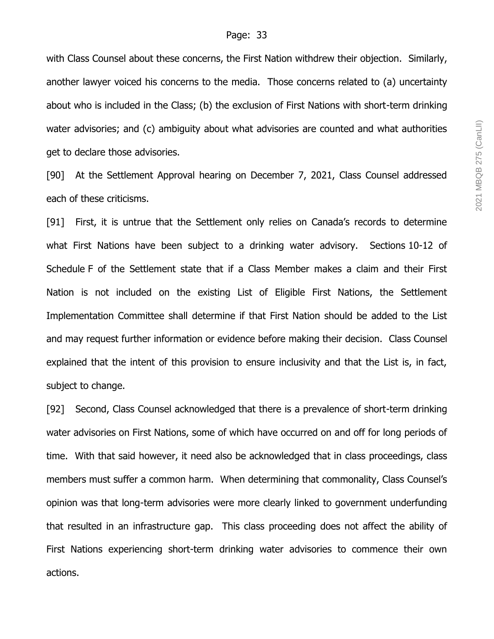with Class Counsel about these concerns, the First Nation withdrew their objection. Similarly, another lawyer voiced his concerns to the media. Those concerns related to (a) uncertainty about who is included in the Class; (b) the exclusion of First Nations with short-term drinking water advisories; and (c) ambiguity about what advisories are counted and what authorities get to declare those advisories.

[90] At the Settlement Approval hearing on December 7, 2021, Class Counsel addressed each of these criticisms.

[91] First, it is untrue that the Settlement only relies on Canada's records to determine what First Nations have been subject to a drinking water advisory. Sections 10-12 of Schedule F of the Settlement state that if a Class Member makes a claim and their First Nation is not included on the existing List of Eligible First Nations, the Settlement Implementation Committee shall determine if that First Nation should be added to the List and may request further information or evidence before making their decision. Class Counsel explained that the intent of this provision to ensure inclusivity and that the List is, in fact, subject to change.

[92] Second, Class Counsel acknowledged that there is a prevalence of short-term drinking water advisories on First Nations, some of which have occurred on and off for long periods of time. With that said however, it need also be acknowledged that in class proceedings, class members must suffer a common harm. When determining that commonality, Class Counsel's opinion was that long-term advisories were more clearly linked to government underfunding that resulted in an infrastructure gap. This class proceeding does not affect the ability of First Nations experiencing short-term drinking water advisories to commence their own actions.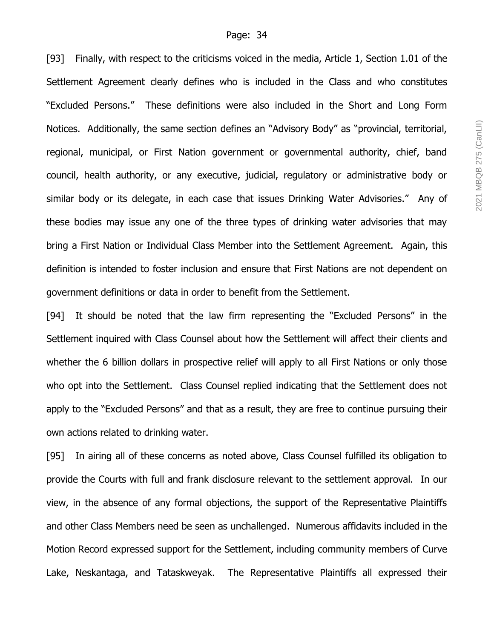[93] Finally, with respect to the criticisms voiced in the media, Article 1, Section 1.01 of the Settlement Agreement clearly defines who is included in the Class and who constitutes "Excluded Persons." These definitions were also included in the Short and Long Form Notices. Additionally, the same section defines an "Advisory Body" as "provincial, territorial, regional, municipal, or First Nation government or governmental authority, chief, band council, health authority, or any executive, judicial, regulatory or administrative body or similar body or its delegate, in each case that issues Drinking Water Advisories." Any of these bodies may issue any one of the three types of drinking water advisories that may bring a First Nation or Individual Class Member into the Settlement Agreement. Again, this definition is intended to foster inclusion and ensure that First Nations are not dependent on government definitions or data in order to benefit from the Settlement.

[94] It should be noted that the law firm representing the "Excluded Persons" in the Settlement inquired with Class Counsel about how the Settlement will affect their clients and whether the 6 billion dollars in prospective relief will apply to all First Nations or only those who opt into the Settlement. Class Counsel replied indicating that the Settlement does not apply to the "Excluded Persons" and that as a result, they are free to continue pursuing their own actions related to drinking water.

[95] In airing all of these concerns as noted above, Class Counsel fulfilled its obligation to provide the Courts with full and frank disclosure relevant to the settlement approval. In our view, in the absence of any formal objections, the support of the Representative Plaintiffs and other Class Members need be seen as unchallenged. Numerous affidavits included in the Motion Record expressed support for the Settlement, including community members of Curve Lake, Neskantaga, and Tataskweyak. The Representative Plaintiffs all expressed their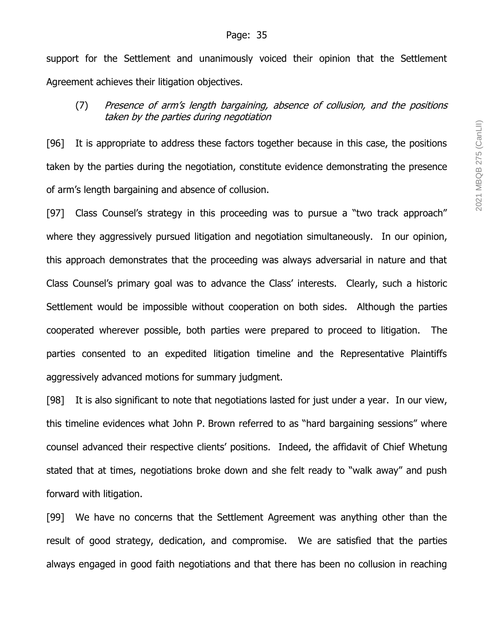support for the Settlement and unanimously voiced their opinion that the Settlement Agreement achieves their litigation objectives.

# (7) Presence of arm's length bargaining, absence of collusion, and the positions taken by the parties during negotiation

[96] It is appropriate to address these factors together because in this case, the positions taken by the parties during the negotiation, constitute evidence demonstrating the presence of arm's length bargaining and absence of collusion.

[97] Class Counsel's strategy in this proceeding was to pursue a "two track approach" where they aggressively pursued litigation and negotiation simultaneously. In our opinion, this approach demonstrates that the proceeding was always adversarial in nature and that Class Counsel's primary goal was to advance the Class' interests. Clearly, such a historic Settlement would be impossible without cooperation on both sides. Although the parties cooperated wherever possible, both parties were prepared to proceed to litigation. The parties consented to an expedited litigation timeline and the Representative Plaintiffs aggressively advanced motions for summary judgment.

[98] It is also significant to note that negotiations lasted for just under a year. In our view, this timeline evidences what John P. Brown referred to as "hard bargaining sessions" where counsel advanced their respective clients' positions. Indeed, the affidavit of Chief Whetung stated that at times, negotiations broke down and she felt ready to "walk away" and push forward with litigation.

[99] We have no concerns that the Settlement Agreement was anything other than the result of good strategy, dedication, and compromise. We are satisfied that the parties always engaged in good faith negotiations and that there has been no collusion in reaching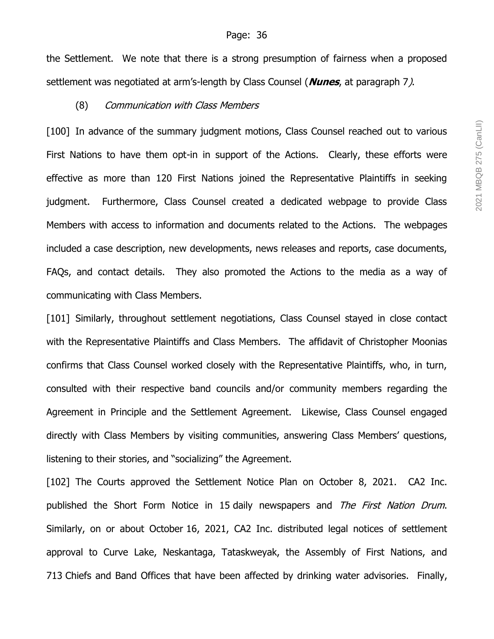the Settlement. We note that there is a strong presumption of fairness when a proposed settlement was negotiated at arm's-length by Class Counsel (**Nunes**, at paragraph 7).

#### (8) Communication with Class Members

[100] In advance of the summary judgment motions, Class Counsel reached out to various First Nations to have them opt-in in support of the Actions. Clearly, these efforts were effective as more than 120 First Nations joined the Representative Plaintiffs in seeking judgment. Furthermore, Class Counsel created a dedicated webpage to provide Class Members with access to information and documents related to the Actions. The webpages included a case description, new developments, news releases and reports, case documents, FAQs, and contact details. They also promoted the Actions to the media as a way of communicating with Class Members.

[101] Similarly, throughout settlement negotiations, Class Counsel stayed in close contact with the Representative Plaintiffs and Class Members. The affidavit of Christopher Moonias confirms that Class Counsel worked closely with the Representative Plaintiffs, who, in turn, consulted with their respective band councils and/or community members regarding the Agreement in Principle and the Settlement Agreement. Likewise, Class Counsel engaged directly with Class Members by visiting communities, answering Class Members' questions, listening to their stories, and "socializing" the Agreement.

[102] The Courts approved the Settlement Notice Plan on October 8, 2021. CA2 Inc. published the Short Form Notice in 15 daily newspapers and The First Nation Drum. Similarly, on or about October 16, 2021, CA2 Inc. distributed legal notices of settlement approval to Curve Lake, Neskantaga, Tataskweyak, the Assembly of First Nations, and 713 Chiefs and Band Offices that have been affected by drinking water advisories. Finally,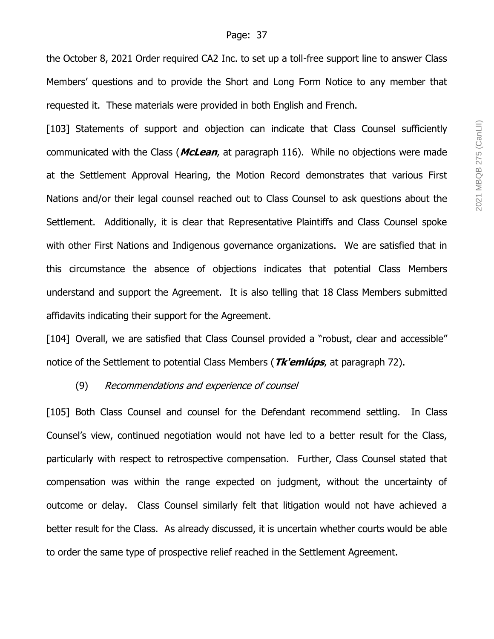the October 8, 2021 Order required CA2 Inc. to set up a toll-free support line to answer Class Members' questions and to provide the Short and Long Form Notice to any member that requested it. These materials were provided in both English and French.

[103] Statements of support and objection can indicate that Class Counsel sufficiently communicated with the Class (**McLean**, at paragraph 116). While no objections were made at the Settlement Approval Hearing, the Motion Record demonstrates that various First Nations and/or their legal counsel reached out to Class Counsel to ask questions about the Settlement. Additionally, it is clear that Representative Plaintiffs and Class Counsel spoke with other First Nations and Indigenous governance organizations. We are satisfied that in this circumstance the absence of objections indicates that potential Class Members understand and support the Agreement. It is also telling that 18 Class Members submitted affidavits indicating their support for the Agreement.

[104] Overall, we are satisfied that Class Counsel provided a "robust, clear and accessible" notice of the Settlement to potential Class Members (**Tk'emlúps**, at paragraph 72).

#### (9) Recommendations and experience of counsel

[105] Both Class Counsel and counsel for the Defendant recommend settling. In Class Counsel's view, continued negotiation would not have led to a better result for the Class, particularly with respect to retrospective compensation. Further, Class Counsel stated that compensation was within the range expected on judgment, without the uncertainty of outcome or delay. Class Counsel similarly felt that litigation would not have achieved a better result for the Class. As already discussed, it is uncertain whether courts would be able to order the same type of prospective relief reached in the Settlement Agreement.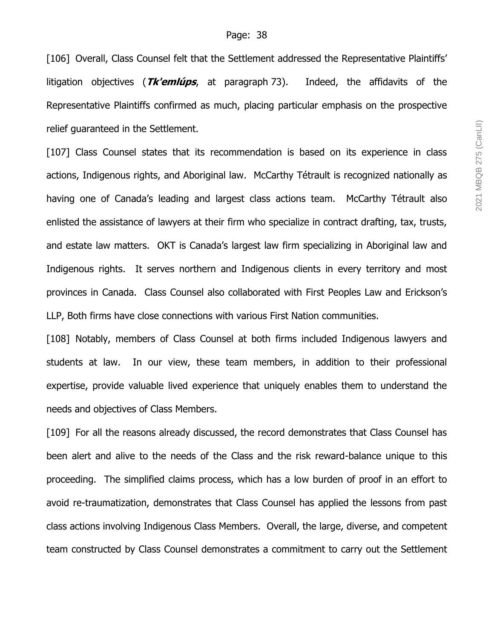[106] Overall, Class Counsel felt that the Settlement addressed the Representative Plaintiffs' litigation objectives (**Tk'emlúps**, at paragraph 73). Indeed, the affidavits of the Representative Plaintiffs confirmed as much, placing particular emphasis on the prospective relief guaranteed in the Settlement.

[107] Class Counsel states that its recommendation is based on its experience in class actions, Indigenous rights, and Aboriginal law. McCarthy Tétrault is recognized nationally as having one of Canada's leading and largest class actions team. McCarthy Tétrault also enlisted the assistance of lawyers at their firm who specialize in contract drafting, tax, trusts, and estate law matters. OKT is Canada's largest law firm specializing in Aboriginal law and Indigenous rights. It serves northern and Indigenous clients in every territory and most provinces in Canada. Class Counsel also collaborated with First Peoples Law and Erickson's LLP, Both firms have close connections with various First Nation communities.

[108] Notably, members of Class Counsel at both firms included Indigenous lawyers and students at law. In our view, these team members, in addition to their professional expertise, provide valuable lived experience that uniquely enables them to understand the needs and objectives of Class Members.

[109] For all the reasons already discussed, the record demonstrates that Class Counsel has been alert and alive to the needs of the Class and the risk reward-balance unique to this proceeding. The simplified claims process, which has a low burden of proof in an effort to avoid re-traumatization, demonstrates that Class Counsel has applied the lessons from past class actions involving Indigenous Class Members. Overall, the large, diverse, and competent team constructed by Class Counsel demonstrates a commitment to carry out the Settlement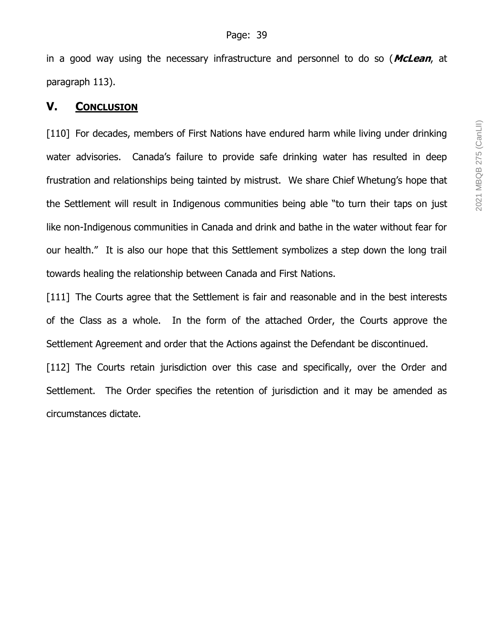in a good way using the necessary infrastructure and personnel to do so (**McLean**, at paragraph 113).

# **V. CONCLUSION**

[110] For decades, members of First Nations have endured harm while living under drinking water advisories. Canada's failure to provide safe drinking water has resulted in deep frustration and relationships being tainted by mistrust. We share Chief Whetung's hope that the Settlement will result in Indigenous communities being able "to turn their taps on just like non-Indigenous communities in Canada and drink and bathe in the water without fear for our health." It is also our hope that this Settlement symbolizes a step down the long trail towards healing the relationship between Canada and First Nations.

[111] The Courts agree that the Settlement is fair and reasonable and in the best interests of the Class as a whole. In the form of the attached Order, the Courts approve the Settlement Agreement and order that the Actions against the Defendant be discontinued.

[112] The Courts retain jurisdiction over this case and specifically, over the Order and Settlement. The Order specifies the retention of jurisdiction and it may be amended as circumstances dictate.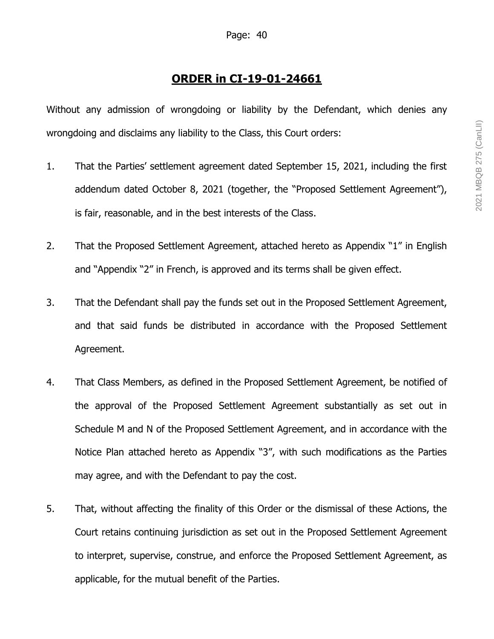# **ORDER in CI-19-01-24661**

Without any admission of wrongdoing or liability by the Defendant, which denies any wrongdoing and disclaims any liability to the Class, this Court orders:

- 1. That the Parties' settlement agreement dated September 15, 2021, including the first addendum dated October 8, 2021 (together, the "Proposed Settlement Agreement"), is fair, reasonable, and in the best interests of the Class.
- 2. That the Proposed Settlement Agreement, attached hereto as Appendix "1" in English and "Appendix "2" in French, is approved and its terms shall be given effect.
- 3. That the Defendant shall pay the funds set out in the Proposed Settlement Agreement, and that said funds be distributed in accordance with the Proposed Settlement Agreement.
- 4. That Class Members, as defined in the Proposed Settlement Agreement, be notified of the approval of the Proposed Settlement Agreement substantially as set out in Schedule M and N of the Proposed Settlement Agreement, and in accordance with the Notice Plan attached hereto as Appendix "3", with such modifications as the Parties may agree, and with the Defendant to pay the cost.
- 5. That, without affecting the finality of this Order or the dismissal of these Actions, the Court retains continuing jurisdiction as set out in the Proposed Settlement Agreement to interpret, supervise, construe, and enforce the Proposed Settlement Agreement, as applicable, for the mutual benefit of the Parties.